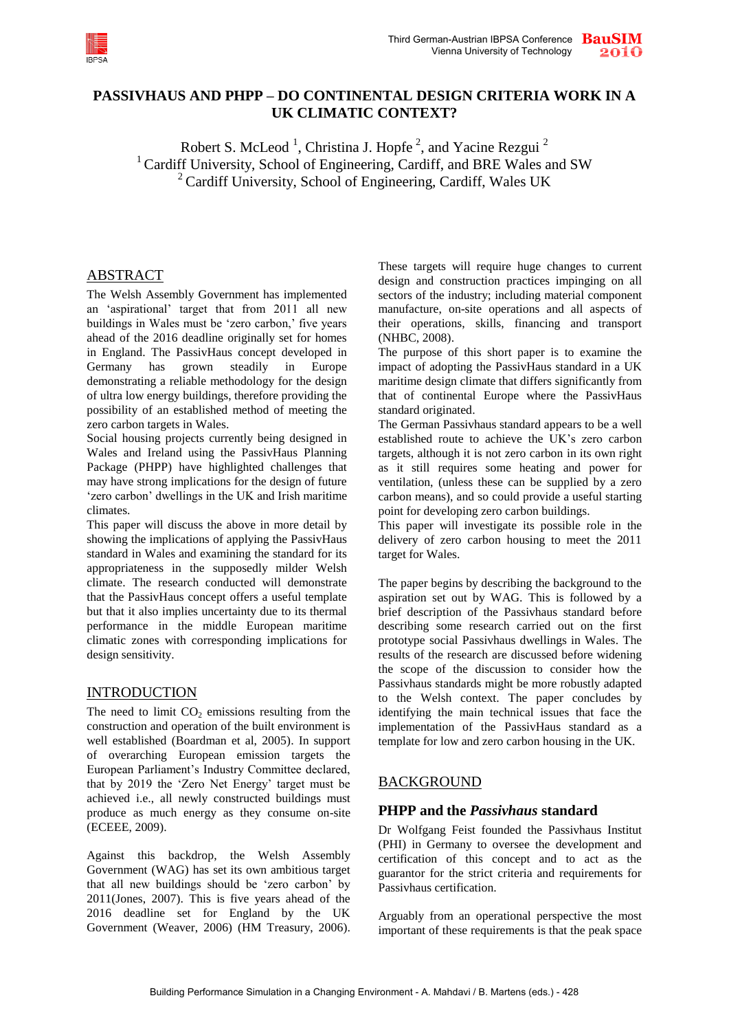

# **PASSIVHAUS AND PHPP – DO CONTINENTAL DESIGN CRITERIA WORK IN A UK CLIMATIC CONTEXT?**

Robert S. McLeod<sup>1</sup>, Christina J. Hopfe<sup>2</sup>, and Yacine Rezgui<sup>2</sup> <sup>1</sup> Cardiff University, School of Engineering, Cardiff, and BRE Wales and SW  $2^2$  Cardiff University, School of Engineering, Cardiff, Wales UK

### ABSTRACT

The Welsh Assembly Government has implemented an "aspirational" target that from 2011 all new buildings in Wales must be 'zero carbon,' five years ahead of the 2016 deadline originally set for homes in England. The PassivHaus concept developed in Germany has grown steadily in Europe demonstrating a reliable methodology for the design of ultra low energy buildings, therefore providing the possibility of an established method of meeting the zero carbon targets in Wales.

Social housing projects currently being designed in Wales and Ireland using the PassivHaus Planning Package (PHPP) have highlighted challenges that may have strong implications for the design of future 'zero carbon' dwellings in the UK and Irish maritime climates.

This paper will discuss the above in more detail by showing the implications of applying the PassivHaus standard in Wales and examining the standard for its appropriateness in the supposedly milder Welsh climate. The research conducted will demonstrate that the PassivHaus concept offers a useful template but that it also implies uncertainty due to its thermal performance in the middle European maritime climatic zones with corresponding implications for design sensitivity.

### INTRODUCTION

The need to limit  $CO<sub>2</sub>$  emissions resulting from the construction and operation of the built environment is well established (Boardman et al, 2005). In support of overarching European emission targets the European Parliament"s Industry Committee declared, that by 2019 the "Zero Net Energy" target must be achieved i.e., all newly constructed buildings must produce as much energy as they consume on-site (ECEEE, 2009).

Against this backdrop, the Welsh Assembly Government (WAG) has set its own ambitious target that all new buildings should be "zero carbon" by 2011(Jones, 2007). This is five years ahead of the 2016 deadline set for England by the UK Government (Weaver, 2006) (HM Treasury, 2006).

These targets will require huge changes to current design and construction practices impinging on all sectors of the industry; including material component manufacture, on-site operations and all aspects of their operations, skills, financing and transport (NHBC, 2008).

The purpose of this short paper is to examine the impact of adopting the PassivHaus standard in a UK maritime design climate that differs significantly from that of continental Europe where the PassivHaus standard originated.

The German Passivhaus standard appears to be a well established route to achieve the UK"s zero carbon targets, although it is not zero carbon in its own right as it still requires some heating and power for ventilation, (unless these can be supplied by a zero carbon means), and so could provide a useful starting point for developing zero carbon buildings.

This paper will investigate its possible role in the delivery of zero carbon housing to meet the 2011 target for Wales.

The paper begins by describing the background to the aspiration set out by WAG. This is followed by a brief description of the Passivhaus standard before describing some research carried out on the first prototype social Passivhaus dwellings in Wales. The results of the research are discussed before widening the scope of the discussion to consider how the Passivhaus standards might be more robustly adapted to the Welsh context. The paper concludes by identifying the main technical issues that face the implementation of the PassivHaus standard as a template for low and zero carbon housing in the UK.

# BACKGROUND

# **PHPP and the** *Passivhaus* **standard**

Dr Wolfgang Feist founded the Passivhaus Institut (PHI) in Germany to oversee the development and certification of this concept and to act as the guarantor for the strict criteria and requirements for Passivhaus certification.

Arguably from an operational perspective the most important of these requirements is that the peak space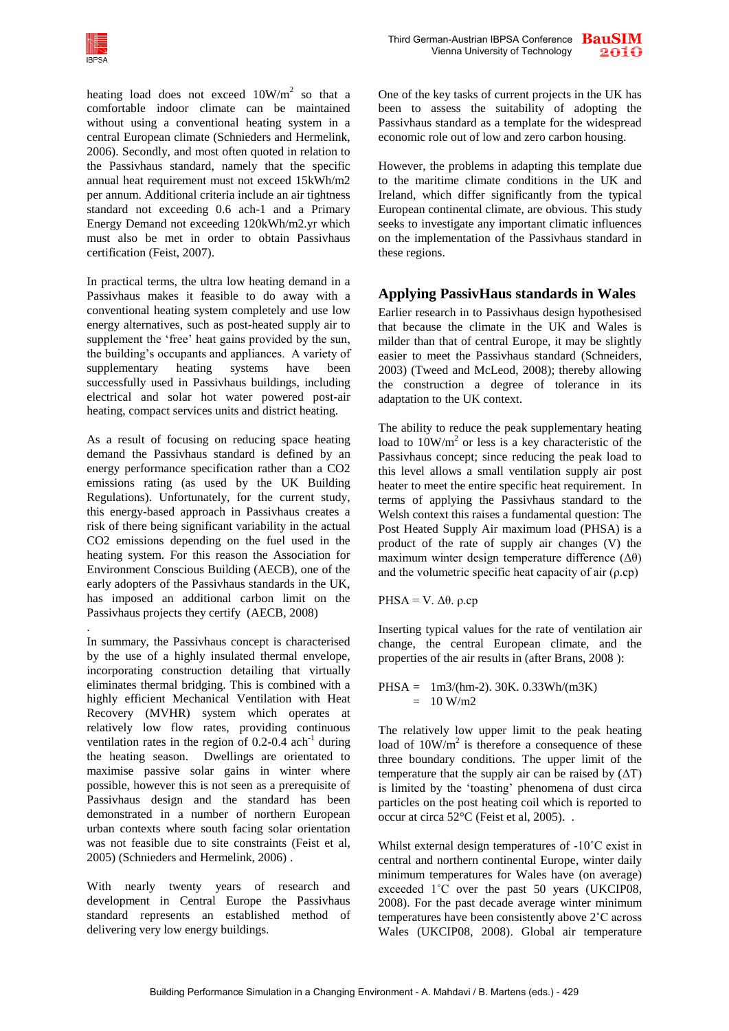

heating load does not exceed  $10W/m^2$  so that a comfortable indoor climate can be maintained without using a conventional heating system in a central European climate (Schnieders and Hermelink, 2006). Secondly, and most often quoted in relation to the Passivhaus standard, namely that the specific annual heat requirement must not exceed 15kWh/m2 per annum. Additional criteria include an air tightness standard not exceeding 0.6 ach-1 and a Primary Energy Demand not exceeding 120kWh/m2.yr which must also be met in order to obtain Passivhaus certification (Feist, 2007).

In practical terms, the ultra low heating demand in a Passivhaus makes it feasible to do away with a conventional heating system completely and use low energy alternatives, such as post-heated supply air to supplement the 'free' heat gains provided by the sun, the building"s occupants and appliances. A variety of supplementary heating systems have been successfully used in Passivhaus buildings, including electrical and solar hot water powered post-air heating, compact services units and district heating.

As a result of focusing on reducing space heating demand the Passivhaus standard is defined by an energy performance specification rather than a CO2 emissions rating (as used by the UK Building Regulations). Unfortunately, for the current study, this energy-based approach in Passivhaus creates a risk of there being significant variability in the actual CO2 emissions depending on the fuel used in the heating system. For this reason the Association for Environment Conscious Building (AECB), one of the early adopters of the Passivhaus standards in the UK, has imposed an additional carbon limit on the Passivhaus projects they certify (AECB, 2008)

. In summary, the Passivhaus concept is characterised by the use of a highly insulated thermal envelope, incorporating construction detailing that virtually eliminates thermal bridging. This is combined with a highly efficient Mechanical Ventilation with Heat Recovery (MVHR) system which operates at relatively low flow rates, providing continuous ventilation rates in the region of  $0.2$ -0.4 ach<sup>-1</sup> during the heating season. Dwellings are orientated to maximise passive solar gains in winter where possible, however this is not seen as a prerequisite of Passivhaus design and the standard has been demonstrated in a number of northern European urban contexts where south facing solar orientation was not feasible due to site constraints (Feist et al, 2005) (Schnieders and Hermelink, 2006) .

With nearly twenty years of research and development in Central Europe the Passivhaus standard represents an established method of delivering very low energy buildings.

One of the key tasks of current projects in the UK has been to assess the suitability of adopting the Passivhaus standard as a template for the widespread economic role out of low and zero carbon housing.

However, the problems in adapting this template due to the maritime climate conditions in the UK and Ireland, which differ significantly from the typical European continental climate, are obvious. This study seeks to investigate any important climatic influences on the implementation of the Passivhaus standard in these regions.

# **Applying PassivHaus standards in Wales**

Earlier research in to Passivhaus design hypothesised that because the climate in the UK and Wales is milder than that of central Europe, it may be slightly easier to meet the Passivhaus standard (Schneiders, 2003) (Tweed and McLeod, 2008); thereby allowing the construction a degree of tolerance in its adaptation to the UK context.

The ability to reduce the peak supplementary heating load to  $10W/m<sup>2</sup>$  or less is a key characteristic of the Passivhaus concept; since reducing the peak load to this level allows a small ventilation supply air post heater to meet the entire specific heat requirement. In terms of applying the Passivhaus standard to the Welsh context this raises a fundamental question: The Post Heated Supply Air maximum load (PHSA) is a product of the rate of supply air changes (V) the maximum winter design temperature difference  $(\Delta \theta)$ and the volumetric specific heat capacity of air  $(\rho$ .cp)

PHSA = V. Δ $θ$ .  $ρ$ .cp

Inserting typical values for the rate of ventilation air change, the central European climate, and the properties of the air results in (after Brans, 2008 ):

PHSA = 1m3/(hm-2). 30K. 0.33Wh/(m3K)  $= 10 W/m2$ 

The relatively low upper limit to the peak heating load of  $10W/m^2$  is therefore a consequence of these three boundary conditions. The upper limit of the temperature that the supply air can be raised by  $(ΔT)$ is limited by the "toasting" phenomena of dust circa particles on the post heating coil which is reported to occur at circa 52°C (Feist et al, 2005). .

Whilst external design temperatures of -10˚C exist in central and northern continental Europe, winter daily minimum temperatures for Wales have (on average) exceeded 1˚C over the past 50 years (UKCIP08, 2008). For the past decade average winter minimum temperatures have been consistently above 2˚C across Wales (UKCIP08, 2008). Global air temperature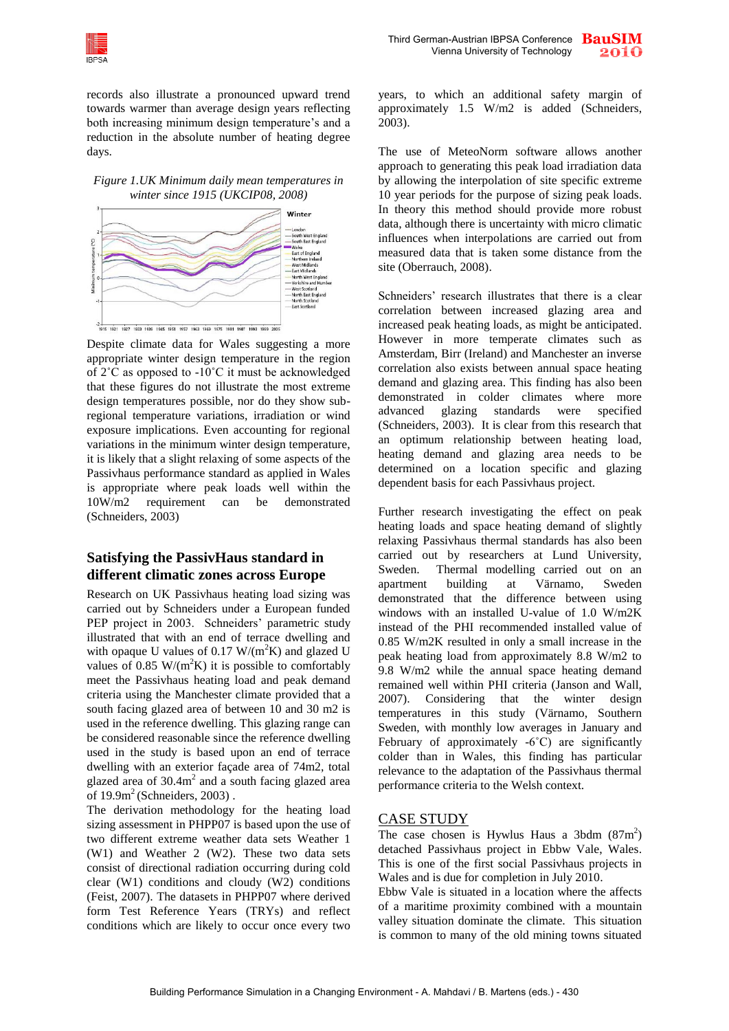

records also illustrate a pronounced upward trend towards warmer than average design years reflecting both increasing minimum design temperature's and a reduction in the absolute number of heating degree days.





Despite climate data for Wales suggesting a more appropriate winter design temperature in the region of 2˚C as opposed to -10˚C it must be acknowledged that these figures do not illustrate the most extreme design temperatures possible, nor do they show subregional temperature variations, irradiation or wind exposure implications. Even accounting for regional variations in the minimum winter design temperature, it is likely that a slight relaxing of some aspects of the Passivhaus performance standard as applied in Wales is appropriate where peak loads well within the 10W/m2 requirement can be demonstrated (Schneiders, 2003)

### **Satisfying the PassivHaus standard in different climatic zones across Europe**

Research on UK Passivhaus heating load sizing was carried out by Schneiders under a European funded PEP project in 2003. Schneiders' parametric study illustrated that with an end of terrace dwelling and with opaque U values of 0.17  $W/(m^2K)$  and glazed U values of 0.85 W/( $m^2K$ ) it is possible to comfortably meet the Passivhaus heating load and peak demand criteria using the Manchester climate provided that a south facing glazed area of between 10 and 30 m2 is used in the reference dwelling. This glazing range can be considered reasonable since the reference dwelling used in the study is based upon an end of terrace dwelling with an exterior façade area of 74m2, total glazed area of  $30.4m<sup>2</sup>$  and a south facing glazed area of  $19.9m^2$  (Schneiders, 2003).

The derivation methodology for the heating load sizing assessment in PHPP07 is based upon the use of two different extreme weather data sets Weather 1 (W1) and Weather 2 (W2). These two data sets consist of directional radiation occurring during cold clear (W1) conditions and cloudy (W2) conditions (Feist, 2007). The datasets in PHPP07 where derived form Test Reference Years (TRYs) and reflect conditions which are likely to occur once every two years, to which an additional safety margin of approximately 1.5 W/m2 is added (Schneiders, 2003).

The use of MeteoNorm software allows another approach to generating this peak load irradiation data by allowing the interpolation of site specific extreme 10 year periods for the purpose of sizing peak loads. In theory this method should provide more robust data, although there is uncertainty with micro climatic influences when interpolations are carried out from measured data that is taken some distance from the site (Oberrauch, 2008).

Schneiders' research illustrates that there is a clear correlation between increased glazing area and increased peak heating loads, as might be anticipated. However in more temperate climates such as Amsterdam, Birr (Ireland) and Manchester an inverse correlation also exists between annual space heating demand and glazing area. This finding has also been demonstrated in colder climates where more advanced glazing standards were specified (Schneiders, 2003). It is clear from this research that an optimum relationship between heating load, heating demand and glazing area needs to be determined on a location specific and glazing dependent basis for each Passivhaus project.

Further research investigating the effect on peak heating loads and space heating demand of slightly relaxing Passivhaus thermal standards has also been carried out by researchers at Lund University, Sweden. Thermal modelling carried out on an apartment building at Värnamo, Sweden demonstrated that the difference between using windows with an installed U-value of 1.0 W/m2K instead of the PHI recommended installed value of 0.85 W/m2K resulted in only a small increase in the peak heating load from approximately 8.8 W/m2 to 9.8 W/m2 while the annual space heating demand remained well within PHI criteria (Janson and Wall, 2007). Considering that the winter design temperatures in this study (Värnamo, Southern Sweden, with monthly low averages in January and February of approximately -6°C) are significantly colder than in Wales, this finding has particular relevance to the adaptation of the Passivhaus thermal performance criteria to the Welsh context.

### CASE STUDY

The case chosen is Hywlus Haus a 3bdm  $(87m^2)$ detached Passivhaus project in Ebbw Vale, Wales. This is one of the first social Passivhaus projects in Wales and is due for completion in July 2010.

Ebbw Vale is situated in a location where the affects of a maritime proximity combined with a mountain valley situation dominate the climate. This situation is common to many of the old mining towns situated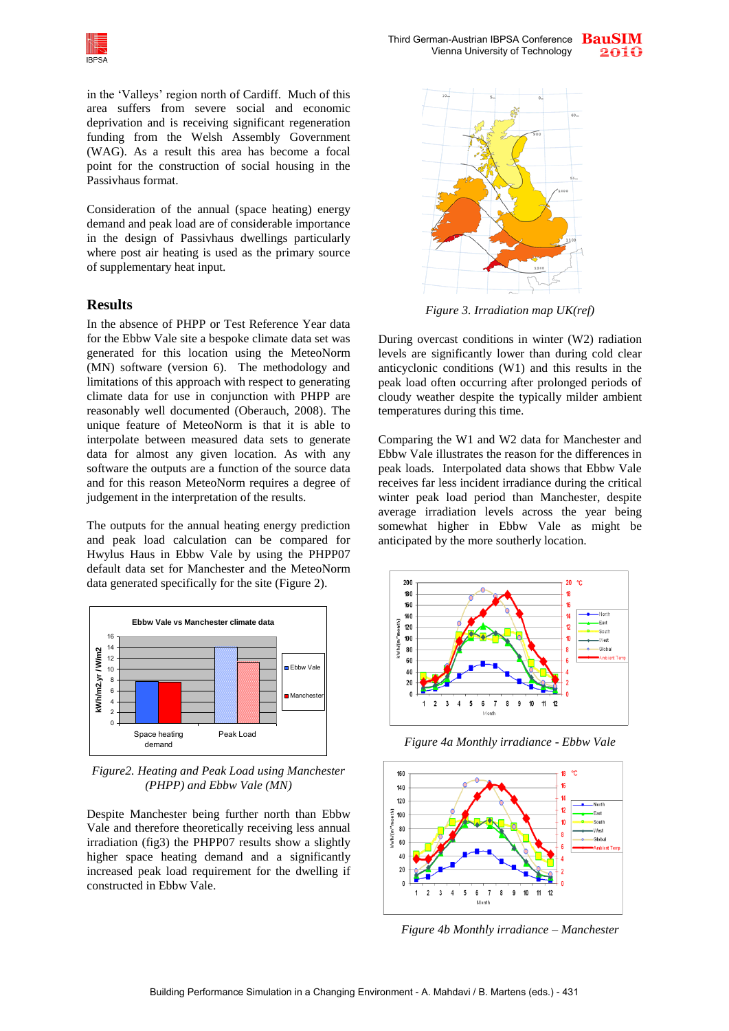

in the "Valleys" region north of Cardiff. Much of this area suffers from severe social and economic deprivation and is receiving significant regeneration funding from the Welsh Assembly Government (WAG). As a result this area has become a focal point for the construction of social housing in the Passivhaus format.

Consideration of the annual (space heating) energy demand and peak load are of considerable importance in the design of Passivhaus dwellings particularly where post air heating is used as the primary source of supplementary heat input.

#### **Results**

In the absence of PHPP or Test Reference Year data for the Ebbw Vale site a bespoke climate data set was generated for this location using the MeteoNorm (MN) software (version 6). The methodology and limitations of this approach with respect to generating climate data for use in conjunction with PHPP are reasonably well documented (Oberauch, 2008). The unique feature of MeteoNorm is that it is able to interpolate between measured data sets to generate data for almost any given location. As with any software the outputs are a function of the source data and for this reason MeteoNorm requires a degree of judgement in the interpretation of the results.

The outputs for the annual heating energy prediction and peak load calculation can be compared for Hwylus Haus in Ebbw Vale by using the PHPP07 default data set for Manchester and the MeteoNorm data generated specifically for the site (Figure 2).



*Figure2. Heating and Peak Load using Manchester (PHPP) and Ebbw Vale (MN)*

Despite Manchester being further north than Ebbw Vale and therefore theoretically receiving less annual irradiation (fig3) the PHPP07 results show a slightly higher space heating demand and a significantly increased peak load requirement for the dwelling if constructed in Ebbw Vale.



*Figure 3. Irradiation map UK(ref)* 

During overcast conditions in winter (W2) radiation levels are significantly lower than during cold clear anticyclonic conditions (W1) and this results in the peak load often occurring after prolonged periods of cloudy weather despite the typically milder ambient temperatures during this time.

Comparing the W1 and W2 data for Manchester and Ebbw Vale illustrates the reason for the differences in peak loads. Interpolated data shows that Ebbw Vale receives far less incident irradiance during the critical winter peak load period than Manchester, despite average irradiation levels across the year being somewhat higher in Ebbw Vale as might be anticipated by the more southerly location.



*Figure 4a Monthly irradiance - Ebbw Vale* 



*Figure 4b Monthly irradiance – Manchester*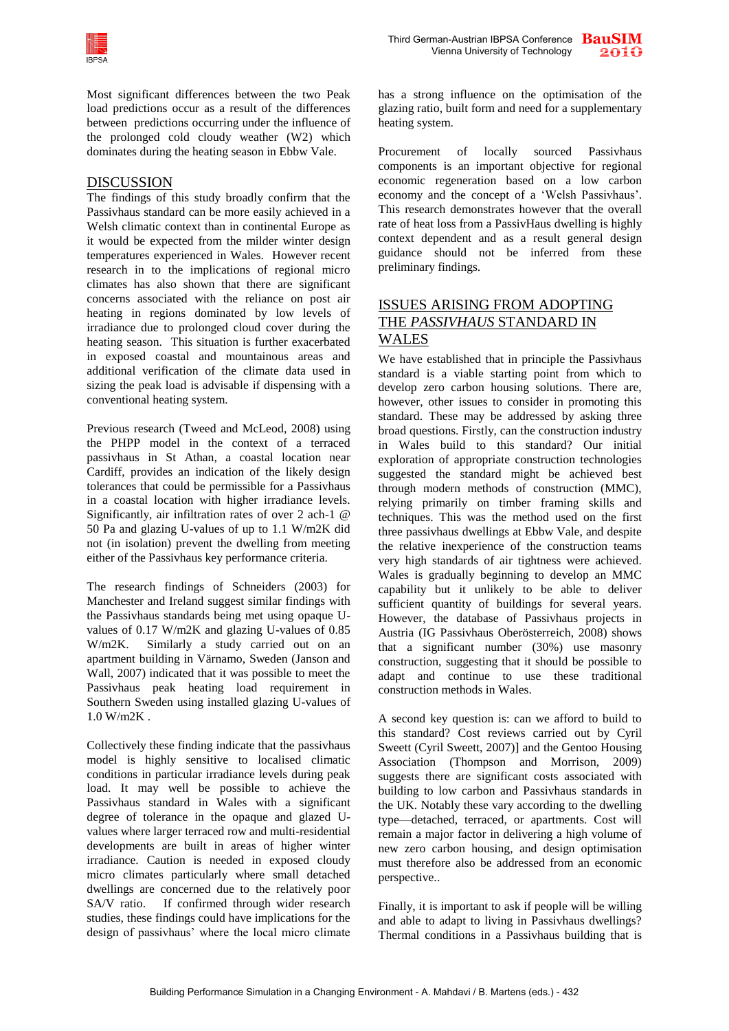

Most significant differences between the two Peak load predictions occur as a result of the differences between predictions occurring under the influence of the prolonged cold cloudy weather (W2) which dominates during the heating season in Ebbw Vale.

#### DISCUSSION

The findings of this study broadly confirm that the Passivhaus standard can be more easily achieved in a Welsh climatic context than in continental Europe as it would be expected from the milder winter design temperatures experienced in Wales. However recent research in to the implications of regional micro climates has also shown that there are significant concerns associated with the reliance on post air heating in regions dominated by low levels of irradiance due to prolonged cloud cover during the heating season. This situation is further exacerbated in exposed coastal and mountainous areas and additional verification of the climate data used in sizing the peak load is advisable if dispensing with a conventional heating system.

Previous research (Tweed and McLeod, 2008) using the PHPP model in the context of a terraced passivhaus in St Athan, a coastal location near Cardiff, provides an indication of the likely design tolerances that could be permissible for a Passivhaus in a coastal location with higher irradiance levels. Significantly, air infiltration rates of over 2 ach-1 @ 50 Pa and glazing U-values of up to 1.1 W/m2K did not (in isolation) prevent the dwelling from meeting either of the Passivhaus key performance criteria.

The research findings of Schneiders (2003) for Manchester and Ireland suggest similar findings with the Passivhaus standards being met using opaque Uvalues of 0.17 W/m2K and glazing U-values of 0.85 W/m2K. Similarly a study carried out on an apartment building in Värnamo, Sweden (Janson and Wall, 2007) indicated that it was possible to meet the Passivhaus peak heating load requirement in Southern Sweden using installed glazing U-values of 1.0 W/m2K .

Collectively these finding indicate that the passivhaus model is highly sensitive to localised climatic conditions in particular irradiance levels during peak load. It may well be possible to achieve the Passivhaus standard in Wales with a significant degree of tolerance in the opaque and glazed Uvalues where larger terraced row and multi-residential developments are built in areas of higher winter irradiance. Caution is needed in exposed cloudy micro climates particularly where small detached dwellings are concerned due to the relatively poor SA/V ratio. If confirmed through wider research studies, these findings could have implications for the design of passivhaus' where the local micro climate

has a strong influence on the optimisation of the glazing ratio, built form and need for a supplementary heating system.

Procurement of locally sourced Passivhaus components is an important objective for regional economic regeneration based on a low carbon economy and the concept of a "Welsh Passivhaus". This research demonstrates however that the overall rate of heat loss from a PassivHaus dwelling is highly context dependent and as a result general design guidance should not be inferred from these preliminary findings.

### ISSUES ARISING FROM ADOPTING THE *PASSIVHAUS* STANDARD IN WALES

We have established that in principle the Passivhaus standard is a viable starting point from which to develop zero carbon housing solutions. There are, however, other issues to consider in promoting this standard. These may be addressed by asking three broad questions. Firstly, can the construction industry in Wales build to this standard? Our initial exploration of appropriate construction technologies suggested the standard might be achieved best through modern methods of construction (MMC), relying primarily on timber framing skills and techniques. This was the method used on the first three passivhaus dwellings at Ebbw Vale, and despite the relative inexperience of the construction teams very high standards of air tightness were achieved. Wales is gradually beginning to develop an MMC capability but it unlikely to be able to deliver sufficient quantity of buildings for several years. However, the database of Passivhaus projects in Austria (IG Passivhaus Oberösterreich, 2008) shows that a significant number (30%) use masonry construction, suggesting that it should be possible to adapt and continue to use these traditional construction methods in Wales.

A second key question is: can we afford to build to this standard? Cost reviews carried out by Cyril Sweett (Cyril Sweett, 2007)] and the Gentoo Housing Association (Thompson and Morrison, 2009) suggests there are significant costs associated with building to low carbon and Passivhaus standards in the UK. Notably these vary according to the dwelling type—detached, terraced, or apartments. Cost will remain a major factor in delivering a high volume of new zero carbon housing, and design optimisation must therefore also be addressed from an economic perspective..

Finally, it is important to ask if people will be willing and able to adapt to living in Passivhaus dwellings? Thermal conditions in a Passivhaus building that is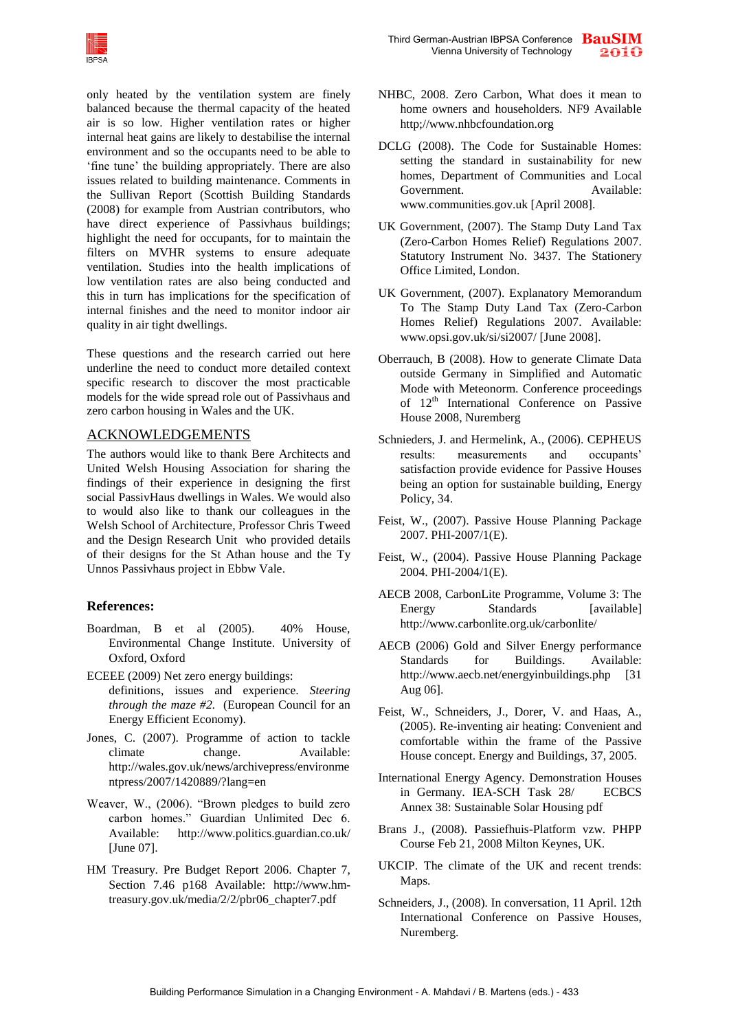

only heated by the ventilation system are finely balanced because the thermal capacity of the heated air is so low. Higher ventilation rates or higher internal heat gains are likely to destabilise the internal environment and so the occupants need to be able to 'fine tune' the building appropriately. There are also issues related to building maintenance. Comments in the Sullivan Report (Scottish Building Standards (2008) for example from Austrian contributors, who have direct experience of Passivhaus buildings; highlight the need for occupants, for to maintain the filters on MVHR systems to ensure adequate ventilation. Studies into the health implications of low ventilation rates are also being conducted and this in turn has implications for the specification of internal finishes and the need to monitor indoor air quality in air tight dwellings.

These questions and the research carried out here underline the need to conduct more detailed context specific research to discover the most practicable models for the wide spread role out of Passivhaus and zero carbon housing in Wales and the UK.

### ACKNOWLEDGEMENTS

The authors would like to thank Bere Architects and United Welsh Housing Association for sharing the findings of their experience in designing the first social PassivHaus dwellings in Wales. We would also to would also like to thank our colleagues in the Welsh School of Architecture, Professor Chris Tweed and the Design Research Unit who provided details of their designs for the St Athan house and the Ty Unnos Passivhaus project in Ebbw Vale.

### **References:**

- Boardman, B et al (2005). 40% House, Environmental Change Institute. University of Oxford, Oxford
- ECEEE (2009) Net zero energy buildings: definitions, issues and experience. *Steering through the maze #2.* (European Council for an Energy Efficient Economy).
- Jones, C. (2007). Programme of action to tackle climate change. Available: http://wales.gov.uk/news/archivepress/environme ntpress/2007/1420889/?lang=en
- Weaver, W., (2006). "Brown pledges to build zero carbon homes." Guardian Unlimited Dec 6. Available: http:/[/www.politics.guardian.co.uk/](http://www.politics.guardian.co.uk/economics/story/0,,1965497,00.html#article)  [\[June 07\].](http://www.politics.guardian.co.uk/economics/story/0,,1965497,00.html#article)
- HM Treasury. Pre Budget Report 2006. Chapter 7, Section 7.46 p168 Available: [http://www.hm](http://www.hm-treasury.gov.uk/media/2/2/pbr06_chapter7.pdf)[treasury.gov.uk/media/2/2/pbr06\\_chapter7.pdf](http://www.hm-treasury.gov.uk/media/2/2/pbr06_chapter7.pdf)
- NHBC, 2008. Zero Carbon, What does it mean to home owners and householders. NF9 Available http;//www.nhbcfoundation.org
- DCLG (2008). The Code for Sustainable Homes: setting the standard in sustainability for new homes, Department of Communities and Local Government. Available: www.communities.gov.uk [April 2008].
- UK Government, (2007). The Stamp Duty Land Tax (Zero-Carbon Homes Relief) Regulations 2007. Statutory Instrument No. 3437. The Stationery Office Limited, London.
- UK Government, (2007). Explanatory Memorandum To The Stamp Duty Land Tax (Zero-Carbon Homes Relief) Regulations 2007. Available: www.opsi.gov.uk/si/si2007/ [June 2008].
- Oberrauch, B (2008). How to generate Climate Data outside Germany in Simplified and Automatic Mode with Meteonorm. Conference proceedings of 12<sup>th</sup> International Conference on Passive House 2008, Nuremberg
- Schnieders, J. and Hermelink, A., (2006). CEPHEUS results: measurements and occupants' satisfaction provide evidence for Passive Houses being an option for sustainable building, Energy Policy, 34.
- Feist, W., (2007). Passive House Planning Package 2007. PHI-2007/1(E).
- Feist, W., (2004). Passive House Planning Package 2004. PHI-2004/1(E).
- AECB 2008, CarbonLite Programme, Volume 3: The Energy Standards [available] <http://www.carbonlite.org.uk/carbonlite/>
- AECB (2006) Gold and Silver Energy performance Standards for Buildings. Available: http://www.aecb.net/energyinbuildings.php [31 Aug 06].
- Feist, W., Schneiders, J., Dorer, V. and Haas, A., (2005). Re-inventing air heating: Convenient and comfortable within the frame of the Passive House concept. Energy and Buildings, 37, 2005.
- International Energy Agency. Demonstration Houses in Germany. IEA-SCH Task 28/ ECBCS Annex 38: Sustainable Solar Housing pdf
- Brans J., (2008). Passiefhuis-Platform vzw. PHPP Course Feb 21, 2008 Milton Keynes, UK.
- UKCIP. The climate of the UK and recent trends: Maps.
- Schneiders, J., (2008). In conversation, 11 April. 12th International Conference on Passive Houses, Nuremberg.